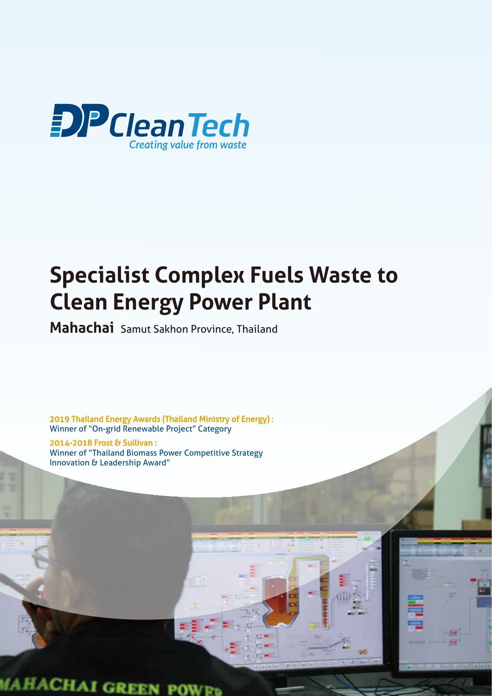

## **Specialist Complex Fuels Waste to Clean Energy Power Plant**

**Mahachai** Samut Sakhon Province, Thailand

2019 Thailand Energy Awards (Thailand Ministry of Energy) : Winner of "On-grid Renewable Project" Category

2014-2018 Frost & Sullivan : Winner of "Thailand Biomass Power Competitive Strategy Innovation & Leadership Award"

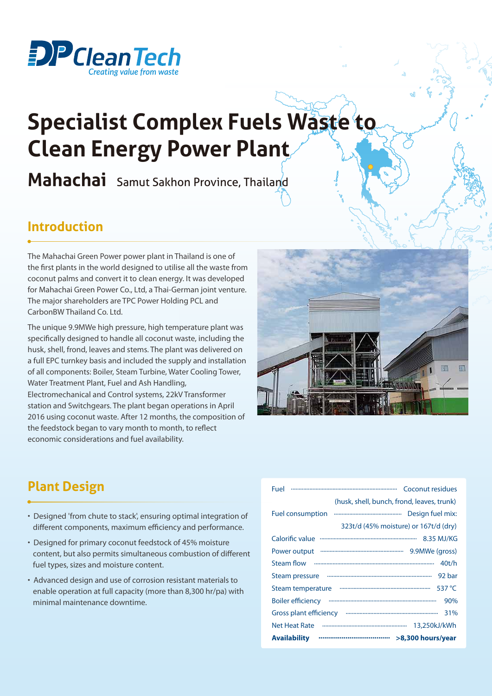

# **Specialist Complex Fuels Waste to Clean Energy Power Plant**

**Mahachai** Samut Sakhon Province, Thailand

#### **Introduction**

The Mahachai Green Power power plant in Thailand is one of the first plants in the world designed to utilise all the waste from coconut palms and convert it to clean energy. It was developed for Mahachai Green Power Co., Ltd, a Thai-German joint venture. The major shareholders are TPC Power Holding PCL and CarbonBW Thailand Co. Ltd.

The unique 9.9MWe high pressure, high temperature plant was specifically designed to handle all coconut waste, including the husk, shell, frond, leaves and stems. The plant was delivered on a full EPC turnkey basis and included the supply and installation of all components: Boiler, Steam Turbine, Water Cooling Tower, Water Treatment Plant, Fuel and Ash Handling, Electromechanical and Control systems, 22kV Transformer station and Switchgears. The plant began operations in April 2016 using coconut waste. After 12 months, the composition of the feedstock began to vary month to month, to reflect economic considerations and fuel availability.



#### **Plant Design**

- Designed 'from chute to stack', ensuring optimal integration of different components, maximum efficiency and performance.
- Designed for primary coconut feedstock of 45% moisture content, but also permits simultaneous combustion of different fuel types, sizes and moisture content.
- Advanced design and use of corrosion resistant materials to enable operation at full capacity (more than 8,300 hr/pa) with minimal maintenance downtime.

| Fuel                                                         |
|--------------------------------------------------------------|
| (husk, shell, bunch, frond, leaves, trunk)                   |
| <b>Fuel consumption</b><br>Design fuel mix:                  |
| 323t/d (45% moisture) or 167t/d (dry)                        |
| Calorific value                                              |
| Power output minimum minimum minimum 9.9MWe (gross)          |
| 40t/h                                                        |
| Steam pressure www.www.www.www.www.www.www.ww<br>92 bar      |
| Steam temperature www.www.www.www.www.www.ww<br>537 °C       |
| 90%                                                          |
| Gross plant efficiency www.www.www.www.www.www.www.ww<br>31% |
| 13,250kJ/kWh                                                 |
| <b>Availability</b>                                          |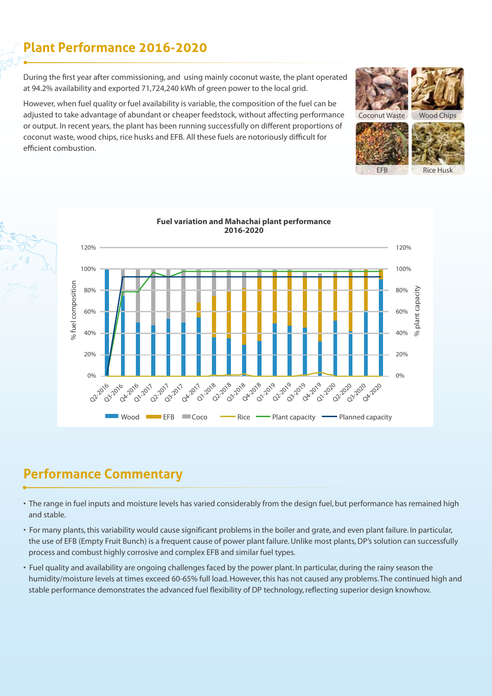#### **Plant Performance 2016-2020**

During the first year after commissioning, and using mainly coconut waste, the plant operated at 94.2% availability and exported 71,724,240 kWh of green power to the local grid.

However, when fuel quality or fuel availability is variable, the composition of the fuel can be adjusted to take advantage of abundant or cheaper feedstock, without affecting performance or output. In recent years, the plant has been running successfully on different proportions of coconut waste, wood chips, rice husks and EFB. All these fuels are notoriously difficult for efficient combustion.





#### **Performance Commentary**

- The range in fuel inputs and moisture levels has varied considerably from the design fuel, but performance has remained high and stable.
- For many plants, this variability would cause significant problems in the boiler and grate, and even plant failure. In particular, the use of EFB (Empty Fruit Bunch) is a frequent cause of power plant failure. Unlike most plants, DP's solution can successfully process and combust highly corrosive and complex EFB and similar fuel types.
- Fuel quality and availability are ongoing challenges faced by the power plant. In particular, during the rainy season the humidity/moisture levels at times exceed 60-65% full load. However, this has not caused any problems. The continued high and stable performance demonstrates the advanced fuel flexibility of DP technology, reflecting superior design knowhow.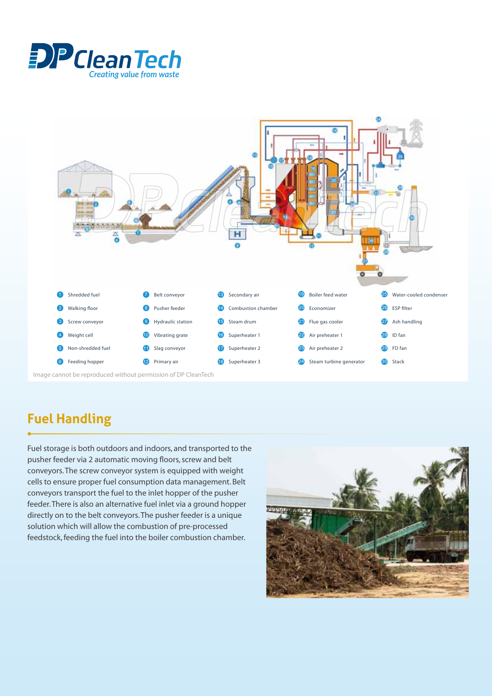



### **Fuel Handling**

Fuel storage is both outdoors and indoors, and transported to the pusher feeder via 2 automatic moving floors, screw and belt conveyors. The screw conveyor system is equipped with weight cells to ensure proper fuel consumption data management. Belt conveyors transport the fuel to the inlet hopper of the pusher feeder. There is also an alternative fuel inlet via a ground hopper directly on to the belt conveyors. The pusher feeder is a unique solution which will allow the combustion of pre-processed feedstock, feeding the fuel into the boiler combustion chamber.

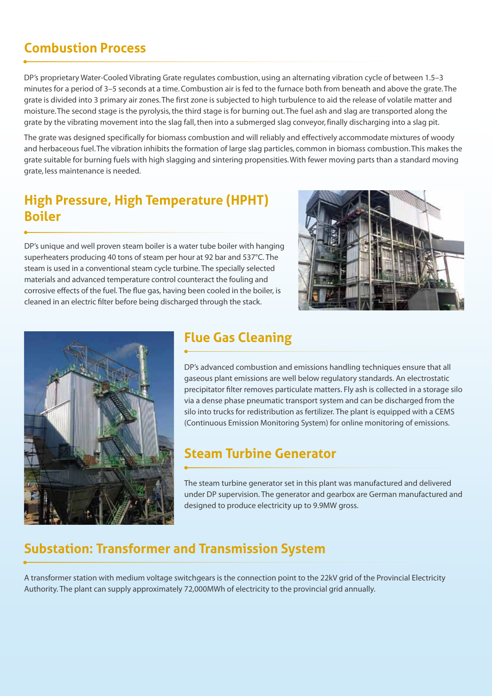#### **Combustion Process**

DP's proprietary Water-Cooled Vibrating Grate regulates combustion, using an alternating vibration cycle of between 1.5–3 minutes for a period of 3–5 seconds at a time. Combustion air is fed to the furnace both from beneath and above the grate. The grate is divided into 3 primary air zones. The first zone is subjected to high turbulence to aid the release of volatile matter and moisture. The second stage is the pyrolysis, the third stage is for burning out. The fuel ash and slag are transported along the grate by the vibrating movement into the slag fall, then into a submerged slag conveyor, finally discharging into a slag pit.

The grate was designed specifically for biomass combustion and will reliably and effectively accommodate mixtures of woody and herbaceous fuel. The vibration inhibits the formation of large slag particles, common in biomass combustion. This makes the grate suitable for burning fuels with high slagging and sintering propensities. With fewer moving parts than a standard moving grate, less maintenance is needed.

#### **High Pressure, High Temperature (HPHT) Boiler**

DP's unique and well proven steam boiler is a water tube boiler with hanging superheaters producing 40 tons of steam per hour at 92 bar and 537°C. The steam is used in a conventional steam cycle turbine. The specially selected materials and advanced temperature control counteract the fouling and corrosive effects of the fuel. The flue gas, having been cooled in the boiler, is cleaned in an electric filter before being discharged through the stack.





#### **Flue Gas Cleaning**

DP's advanced combustion and emissions handling techniques ensure that all gaseous plant emissions are well below regulatory standards. An electrostatic precipitator filter removes particulate matters. Fly ash is collected in a storage silo via a dense phase pneumatic transport system and can be discharged from the silo into trucks for redistribution as fertilizer. The plant is equipped with a CEMS (Continuous Emission Monitoring System) for online monitoring of emissions.

#### **Steam Turbine Generator**

The steam turbine generator set in this plant was manufactured and delivered under DP supervision. The generator and gearbox are German manufactured and designed to produce electricity up to 9.9MW gross.

#### **Substation: Transformer and Transmission System**

A transformer station with medium voltage switchgears is the connection point to the 22kV grid of the Provincial Electricity Authority. The plant can supply approximately 72,000MWh of electricity to the provincial grid annually.